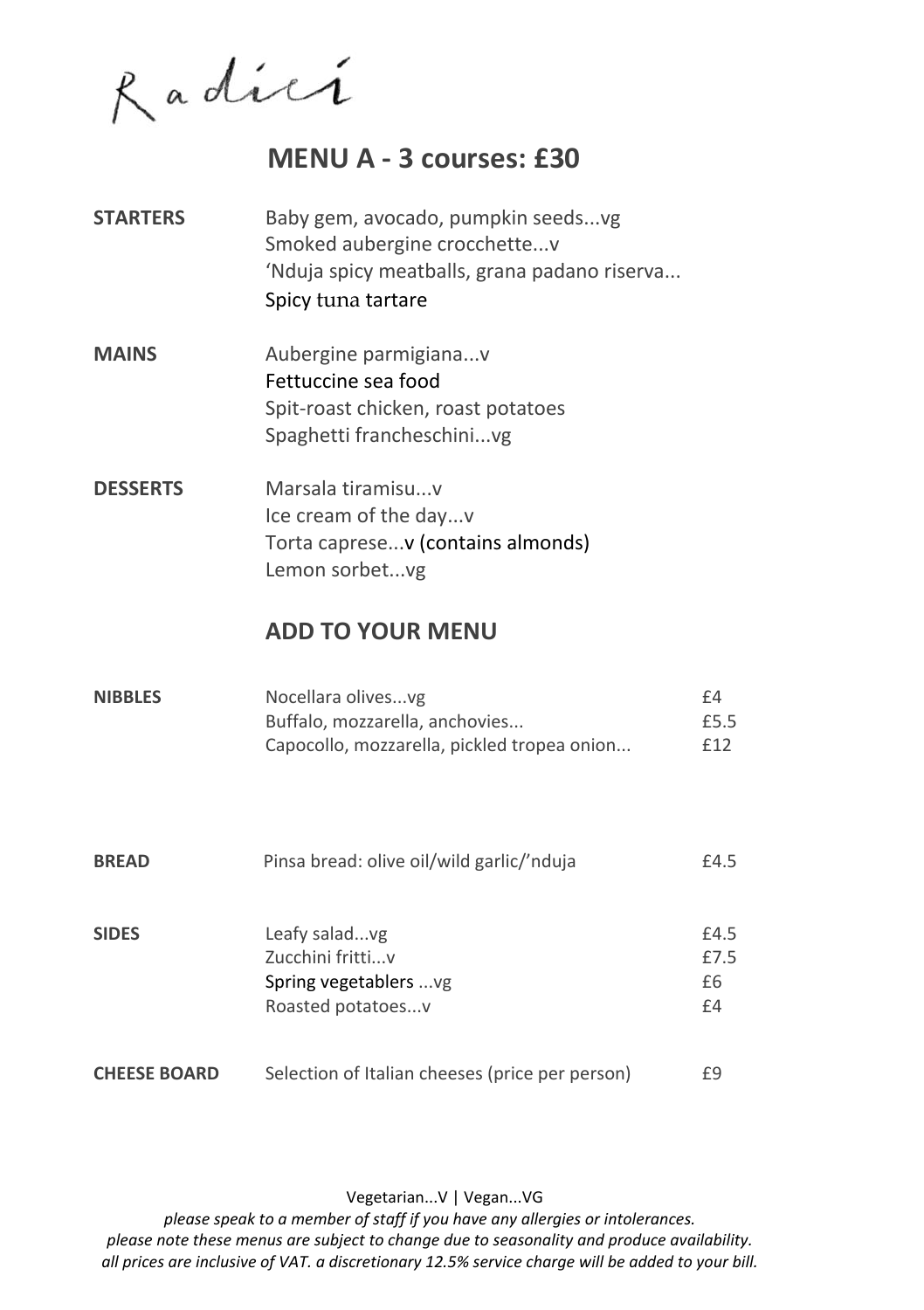Radici

## **MENU A - 3 courses: £30**

- **STARTERS** Baby gem, avocado, pumpkin seeds...vg Smoked aubergine crocchette...v 'Nduja spicy meatballs, grana padano riserva... Spicy tuna tartare
- **MAINS** Aubergine parmigiana...v Fettuccine sea food Spit-roast chicken, roast potatoes Spaghetti francheschini...vg
- **DESSERTS** Marsala tiramisu...v Ice cream of the day...v Torta caprese...v (contains almonds) Lemon sorbet...vg

#### **ADD TO YOUR MENU**

| <b>NIBBLES</b> | Nocellara olivesvg                          | f4   |
|----------------|---------------------------------------------|------|
|                | Buffalo, mozzarella, anchovies              | £5.5 |
|                | Capocollo, mozzarella, pickled tropea onion | £12  |

| <b>BREAD</b>        | Pinsa bread: olive oil/wild garlic/'nduja       | £4.5 |
|---------------------|-------------------------------------------------|------|
| <b>SIDES</b>        | Leafy saladvg                                   | £4.5 |
|                     | Zucchini frittiv                                | £7.5 |
|                     | Spring vegetablers  vg                          | £6   |
|                     | Roasted potatoesv                               | £4   |
| <b>CHEESE BOARD</b> | Selection of Italian cheeses (price per person) | £9   |

Vegetarian...V | Vegan...VG

*please speak to a member of staff if you have any allergies or intolerances. please note these menus are subject to change due to seasonality and produce availability. all prices are inclusive of VAT. a discretionary 12.5% service charge will be added to your bill.*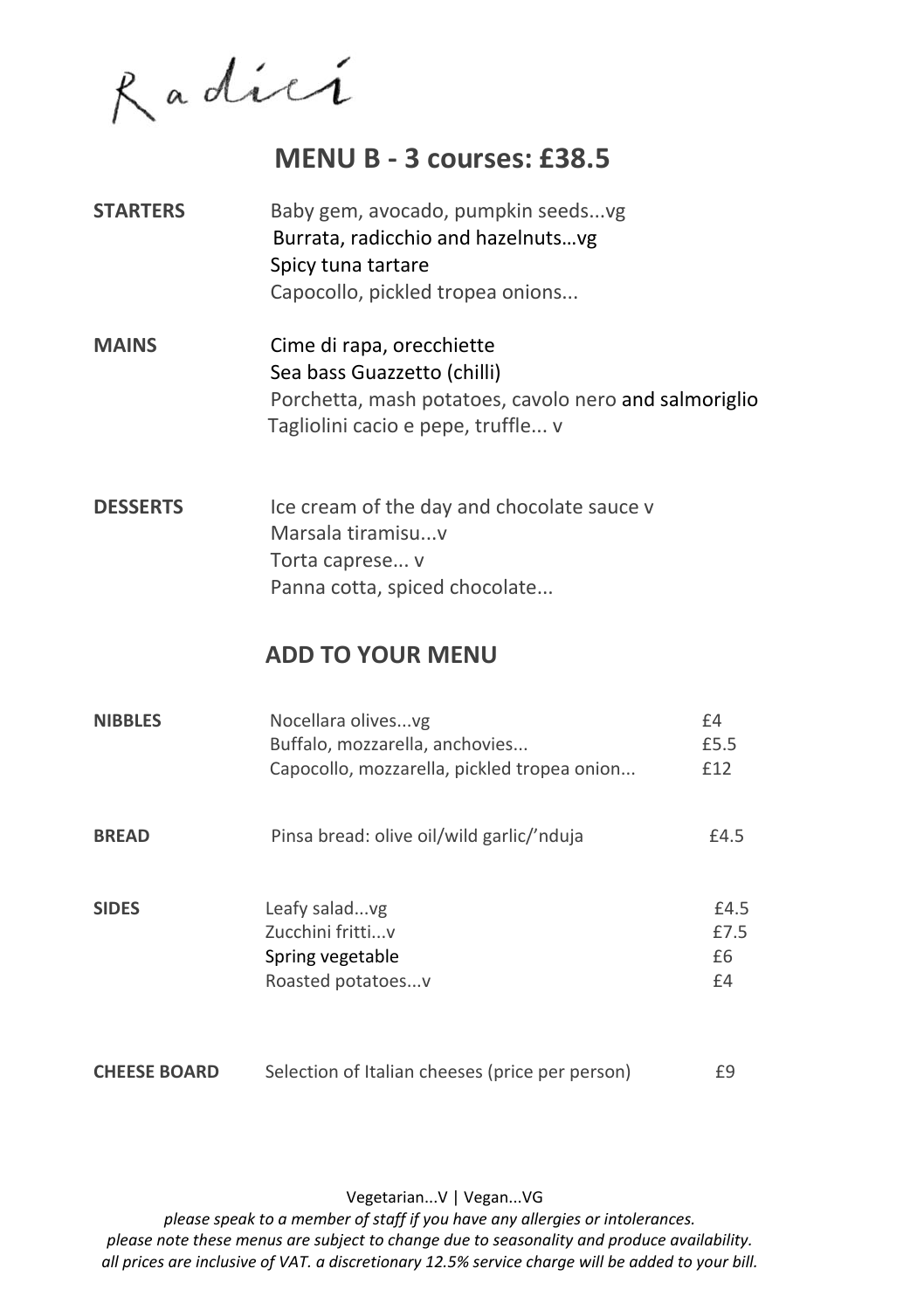Radici

## **MENU B - 3 courses: £38.5**

- **STARTERS** Baby gem, avocado, pumpkin seeds...vg Burrata, radicchio and hazelnuts…vg Spicy tuna tartare Capocollo, pickled tropea onions...
- **MAINS** Cime di rapa, orecchiette Sea bass Guazzetto (chilli) Porchetta, mash potatoes, cavolo nero and salmoriglio Tagliolini cacio e pepe, truffle... v
- **DESSERTS** Ice cream of the day and chocolate sauce v Marsala tiramisu...v Torta caprese... v Panna cotta, spiced chocolate...

#### **ADD TO YOUR MENU**

| <b>NIBBLES</b> | Nocellara olivesvg<br>Buffalo, mozzarella, anchovies<br>Capocollo, mozzarella, pickled tropea onion | £4<br>£5.5<br>£12        |
|----------------|-----------------------------------------------------------------------------------------------------|--------------------------|
| <b>BREAD</b>   | Pinsa bread: olive oil/wild garlic/'nduja                                                           | £4.5                     |
| <b>SIDES</b>   | Leafy saladvg<br>Zucchini frittiv<br>Spring vegetable<br>Roasted potatoesv                          | £4.5<br>£7.5<br>£6<br>£4 |

**CHEESE BOARD** Selection of Italian cheeses (price per person) E9

Vegetarian...V | Vegan...VG

*please speak to a member of staff if you have any allergies or intolerances. please note these menus are subject to change due to seasonality and produce availability. all prices are inclusive of VAT. a discretionary 12.5% service charge will be added to your bill.*